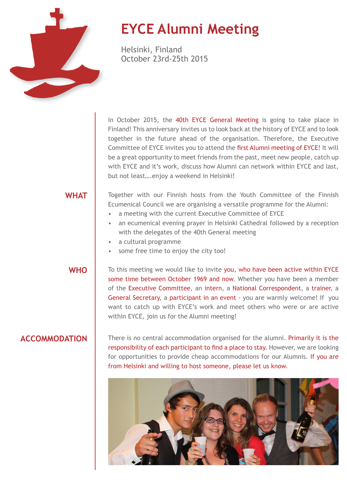

# **EYCE Alumni Meeting**

Helsinki, Finland October 23rd-25th 2015

In October 2015, the 40th EYCE General Meeting is going to take place in Finland! This anniversary invites us to look back at the history of EYCE and to look together in the future ahead of the organisation. Therefore, the Executive Committee of EYCE invites you to attend the first Alumni meeting of EYCE! It will be a great opportunity to meet friends from the past, meet new people, catch up with EYCE and it's work, discuss how Alumni can network within EYCE and last, but not least….enjoy a weekend in Helsinki!

### **WHAT**

Together with our Finnish hosts from the Youth Committee of the Finnish Ecumenical Council we are organising a versatile programme for the Alumni:

- a meeting with the current Executive Committee of EYCE
- an ecumenical evening prayer in Helsinki Cathedral followed by a reception with the delegates of the 40th General meeting
- a cultural programme
- some free time to enjoy the city too!

WHO **T** To this meeting we would like to invite you, who have been active within EYCE some time between October 1969 and now. Whether you have been a member of the Executive Committee, an intern, a National Correspondent, a trainer, a General Secretary, a participant in an event - you are warmly welcome! If you want to catch up with EYCE's work and meet others who were or are active within EYCE, join us for the Alumni meeting!

**ACCOMMODATION** There is no central accommodation organised for the alumni. Primarily it is the responsibility of each participant to find a place to stay. However, we are looking for opportunities to provide cheap accommodations for our Alumnis. If you are from Helsinki and willing to host someone, please let us know.